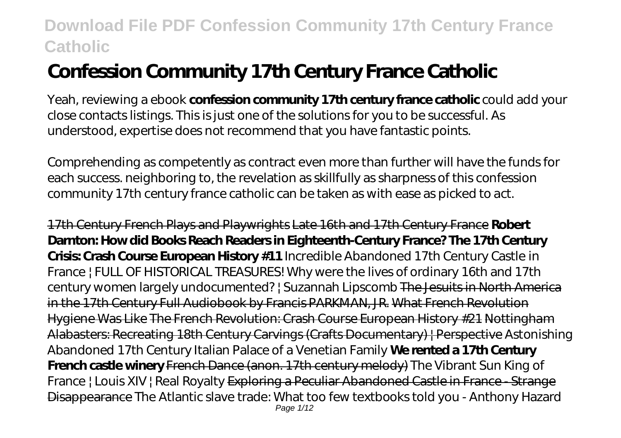# **Confession Community 17th Century France Catholic**

Yeah, reviewing a ebook **confession community 17th century france catholic** could add your close contacts listings. This is just one of the solutions for you to be successful. As understood, expertise does not recommend that you have fantastic points.

Comprehending as competently as contract even more than further will have the funds for each success. neighboring to, the revelation as skillfully as sharpness of this confession community 17th century france catholic can be taken as with ease as picked to act.

17th Century French Plays and Playwrights Late 16th and 17th Century France **Robert Darnton: How did Books Reach Readers in Eighteenth-Century France? The 17th Century Crisis: Crash Course European History #11** Incredible Abandoned 17th Century Castle in France | FULL OF HISTORICAL TREASURES! Why were the lives of ordinary 16th and 17th century women largely undocumented? | Suzannah Lipscomb The Jesuits in North America in the 17th Century Full Audiobook by Francis PARKMAN, JR. What French Revolution Hygiene Was Like The French Revolution: Crash Course European History #21 Nottingham Alabasters: Recreating 18th Century Carvings (Crafts Documentary) | Perspective *Astonishing Abandoned 17th Century Italian Palace of a Venetian Family* **We rented a 17th Century French castle winery** French Dance (anon. 17th century melody) The Vibrant Sun King of France | Louis XIV | Real Royalty Exploring a Peculiar Abandoned Castle in France - Strange Disappearance The Atlantic slave trade: What too few textbooks told you - Anthony Hazard Page 1/12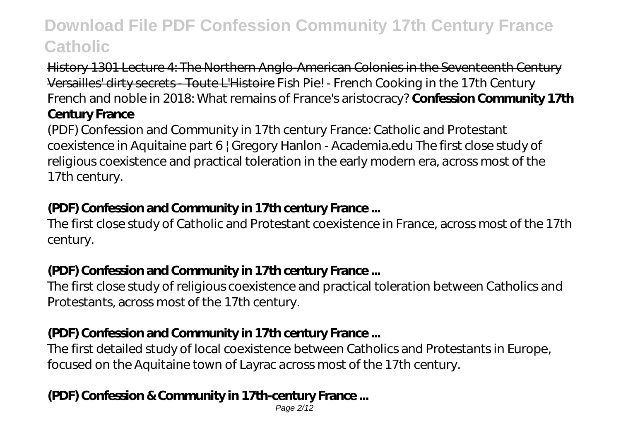History 1301 Lecture 4: The Northern Anglo-American Colonies in the Seventeenth Century Versailles' dirty secrets - Toute L'Histoire *Fish Pie! - French Cooking in the 17th Century French and noble in 2018: What remains of France's aristocracy?* **Confession Community 17th**

### **Century France**

(PDF) Confession and Community in 17th century France: Catholic and Protestant coexistence in Aquitaine part 6 | Gregory Hanlon - Academia.edu The first close study of religious coexistence and practical toleration in the early modern era, across most of the 17th century.

### **(PDF) Confession and Community in 17th century France ...**

The first close study of Catholic and Protestant coexistence in France, across most of the 17th century.

#### **(PDF) Confession and Community in 17th century France ...**

The first close study of religious coexistence and practical toleration between Catholics and Protestants, across most of the 17th century.

### **(PDF) Confession and Community in 17th century France ...**

The first detailed study of local coexistence between Catholics and Protestants in Europe, focused on the Aquitaine town of Layrac across most of the 17th century.

### **(PDF) Confession & Community in 17th-century France ...**

Page 2/12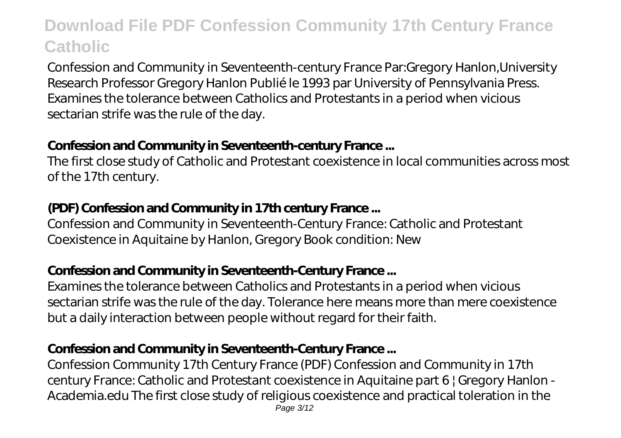Confession and Community in Seventeenth-century France Par:Gregory Hanlon,University Research Professor Gregory Hanlon Publié le 1993 par University of Pennsylvania Press. Examines the tolerance between Catholics and Protestants in a period when vicious sectarian strife was the rule of the day.

#### **Confession and Community in Seventeenth-century France ...**

The first close study of Catholic and Protestant coexistence in local communities across most of the 17th century.

### **(PDF) Confession and Community in 17th century France ...**

Confession and Community in Seventeenth-Century France: Catholic and Protestant Coexistence in Aquitaine by Hanlon, Gregory Book condition: New

### **Confession and Community in Seventeenth-Century France ...**

Examines the tolerance between Catholics and Protestants in a period when vicious sectarian strife was the rule of the day. Tolerance here means more than mere coexistence but a daily interaction between people without regard for their faith.

### **Confession and Community in Seventeenth-Century France ...**

Confession Community 17th Century France (PDF) Confession and Community in 17th century France: Catholic and Protestant coexistence in Aquitaine part 6 | Gregory Hanlon - Academia.edu The first close study of religious coexistence and practical toleration in the Page 3/12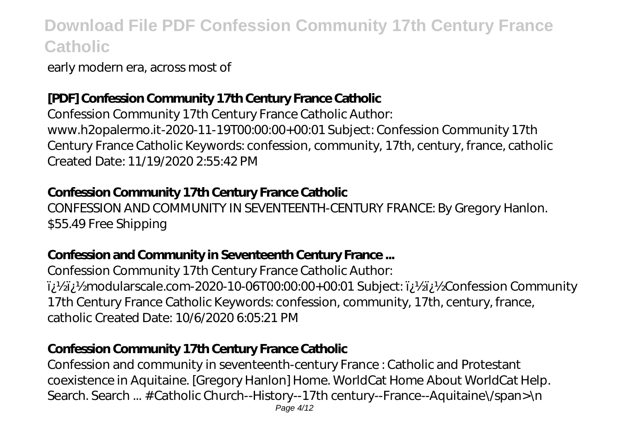early modern era, across most of

### **[PDF] Confession Community 17th Century France Catholic**

Confession Community 17th Century France Catholic Author: www.h2opalermo.it-2020-11-19T00:00:00+00:01 Subject: Confession Community 17th Century France Catholic Keywords: confession, community, 17th, century, france, catholic Created Date: 11/19/2020 2:55:42 PM

#### **Confession Community 17th Century France Catholic**

CONFESSION AND COMMUNITY IN SEVENTEENTH-CENTURY FRANCE: By Gregory Hanlon. \$55.49 Free Shipping

### **Confession and Community in Seventeenth Century France ...**

Confession Community 17th Century France Catholic Author: ii/2ii/2modularscale.com-2020-10-06T00:00.00+00:01 Subject: ii/2ii/2confession Community 17th Century France Catholic Keywords: confession, community, 17th, century, france, catholic Created Date: 10/6/2020 6:05:21 PM

### **Confession Community 17th Century France Catholic**

Confession and community in seventeenth-century France : Catholic and Protestant coexistence in Aquitaine. [Gregory Hanlon] Home. WorldCat Home About WorldCat Help. Search. Search ... # Catholic Church--History--17th century--France--Aquitaine\/span>\n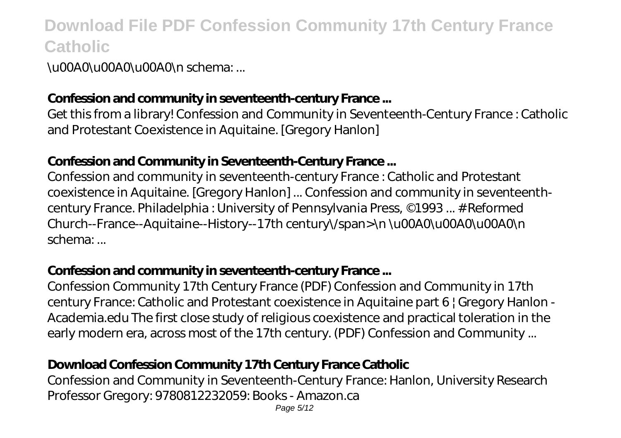\u00A0\u00A0\u00A0\n schema: ...

### **Confession and community in seventeenth-century France ...**

Get this from a library! Confession and Community in Seventeenth-Century France : Catholic and Protestant Coexistence in Aquitaine. [Gregory Hanlon]

#### **Confession and Community in Seventeenth-Century France ...**

Confession and community in seventeenth-century France : Catholic and Protestant coexistence in Aquitaine. [Gregory Hanlon] ... Confession and community in seventeenthcentury France. Philadelphia : University of Pennsylvania Press, ©1993 ... # Reformed Church--France--Aquitaine--History--17th century\/span>\n \u00A0\u00A0\u00A0\n schema: ...

#### **Confession and community in seventeenth-century France ...**

Confession Community 17th Century France (PDF) Confession and Community in 17th century France: Catholic and Protestant coexistence in Aquitaine part 6 | Gregory Hanlon - Academia.edu The first close study of religious coexistence and practical toleration in the early modern era, across most of the 17th century. (PDF) Confession and Community ...

### **Download Confession Community 17th Century France Catholic**

Confession and Community in Seventeenth-Century France: Hanlon, University Research Professor Gregory: 9780812232059: Books - Amazon.ca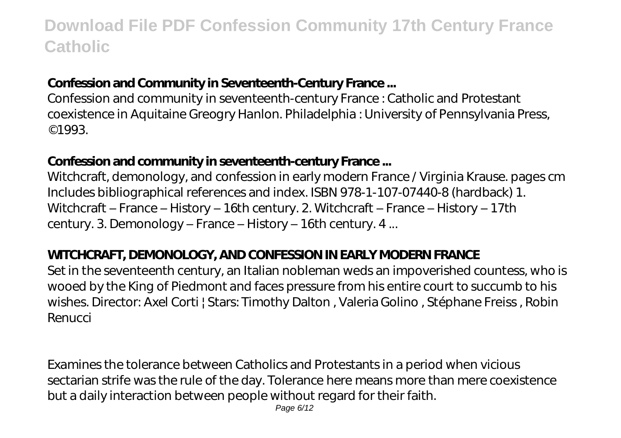#### **Confession and Community in Seventeenth-Century France ...**

Confession and community in seventeenth-century France : Catholic and Protestant coexistence in Aquitaine Greogry Hanlon. Philadelphia : University of Pennsylvania Press, ©1993.

#### **Confession and community in seventeenth-century France ...**

Witchcraft, demonology, and confession in early modern France / Virginia Krause. pages cm Includes bibliographical references and index. ISBN 978-1-107-07440-8 (hardback) 1. Witchcraft – France – History – 16th century. 2. Witchcraft – France – History – 17th century. 3. Demonology – France – History – 16th century. 4 ...

#### **WITCHCRAFT, DEMONOLOGY, AND CONFESSION IN EARLY MODERN FRANCE**

Set in the seventeenth century, an Italian nobleman weds an impoverished countess, who is wooed by the King of Piedmont and faces pressure from his entire court to succumb to his wishes. Director: Axel Corti | Stars: Timothy Dalton , Valeria Golino , Stéphane Freiss , Robin Renucci

Examines the tolerance between Catholics and Protestants in a period when vicious sectarian strife was the rule of the day. Tolerance here means more than mere coexistence but a daily interaction between people without regard for their faith.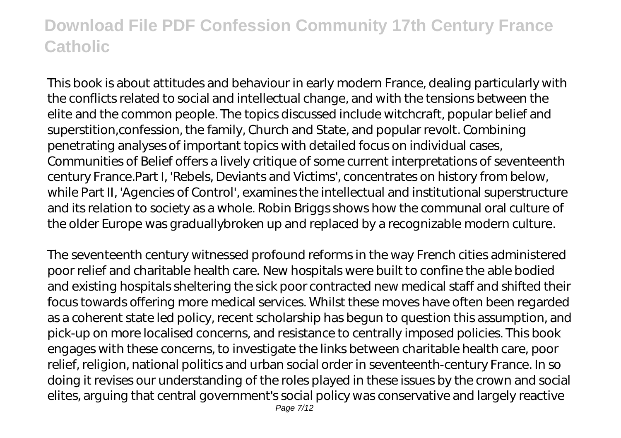This book is about attitudes and behaviour in early modern France, dealing particularly with the conflicts related to social and intellectual change, and with the tensions between the elite and the common people. The topics discussed include witchcraft, popular belief and superstition,confession, the family, Church and State, and popular revolt. Combining penetrating analyses of important topics with detailed focus on individual cases, Communities of Belief offers a lively critique of some current interpretations of seventeenth century France.Part I, 'Rebels, Deviants and Victims', concentrates on history from below, while Part II, 'Agencies of Control', examines the intellectual and institutional superstructure and its relation to society as a whole. Robin Briggs shows how the communal oral culture of the older Europe was graduallybroken up and replaced by a recognizable modern culture.

The seventeenth century witnessed profound reforms in the way French cities administered poor relief and charitable health care. New hospitals were built to confine the able bodied and existing hospitals sheltering the sick poor contracted new medical staff and shifted their focus towards offering more medical services. Whilst these moves have often been regarded as a coherent state led policy, recent scholarship has begun to question this assumption, and pick-up on more localised concerns, and resistance to centrally imposed policies. This book engages with these concerns, to investigate the links between charitable health care, poor relief, religion, national politics and urban social order in seventeenth-century France. In so doing it revises our understanding of the roles played in these issues by the crown and social elites, arguing that central government's social policy was conservative and largely reactive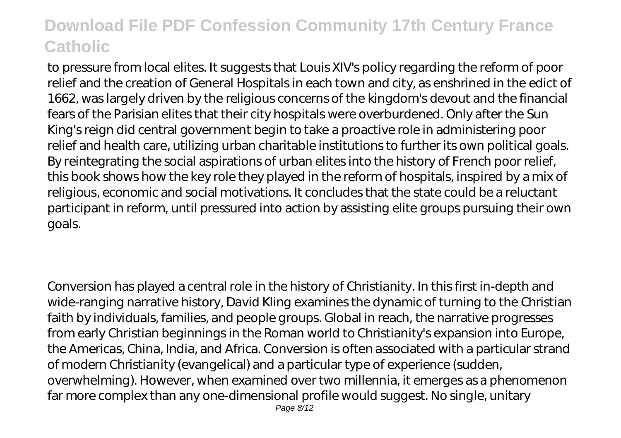to pressure from local elites. It suggests that Louis XIV's policy regarding the reform of poor relief and the creation of General Hospitals in each town and city, as enshrined in the edict of 1662, was largely driven by the religious concerns of the kingdom's devout and the financial fears of the Parisian elites that their city hospitals were overburdened. Only after the Sun King's reign did central government begin to take a proactive role in administering poor relief and health care, utilizing urban charitable institutions to further its own political goals. By reintegrating the social aspirations of urban elites into the history of French poor relief, this book shows how the key role they played in the reform of hospitals, inspired by a mix of religious, economic and social motivations. It concludes that the state could be a reluctant participant in reform, until pressured into action by assisting elite groups pursuing their own goals.

Conversion has played a central role in the history of Christianity. In this first in-depth and wide-ranging narrative history, David Kling examines the dynamic of turning to the Christian faith by individuals, families, and people groups. Global in reach, the narrative progresses from early Christian beginnings in the Roman world to Christianity's expansion into Europe, the Americas, China, India, and Africa. Conversion is often associated with a particular strand of modern Christianity (evangelical) and a particular type of experience (sudden, overwhelming). However, when examined over two millennia, it emerges as a phenomenon far more complex than any one-dimensional profile would suggest. No single, unitary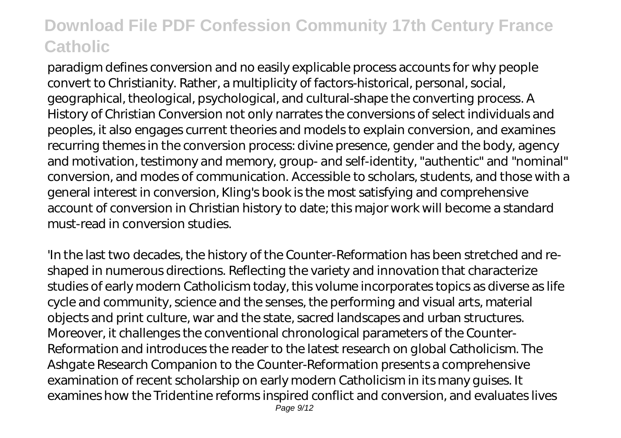paradigm defines conversion and no easily explicable process accounts for why people convert to Christianity. Rather, a multiplicity of factors-historical, personal, social, geographical, theological, psychological, and cultural-shape the converting process. A History of Christian Conversion not only narrates the conversions of select individuals and peoples, it also engages current theories and models to explain conversion, and examines recurring themes in the conversion process: divine presence, gender and the body, agency and motivation, testimony and memory, group- and self-identity, "authentic" and "nominal" conversion, and modes of communication. Accessible to scholars, students, and those with a general interest in conversion, Kling's book is the most satisfying and comprehensive account of conversion in Christian history to date; this major work will become a standard must-read in conversion studies.

'In the last two decades, the history of the Counter-Reformation has been stretched and reshaped in numerous directions. Reflecting the variety and innovation that characterize studies of early modern Catholicism today, this volume incorporates topics as diverse as life cycle and community, science and the senses, the performing and visual arts, material objects and print culture, war and the state, sacred landscapes and urban structures. Moreover, it challenges the conventional chronological parameters of the Counter-Reformation and introduces the reader to the latest research on global Catholicism. The Ashgate Research Companion to the Counter-Reformation presents a comprehensive examination of recent scholarship on early modern Catholicism in its many guises. It examines how the Tridentine reforms inspired conflict and conversion, and evaluates lives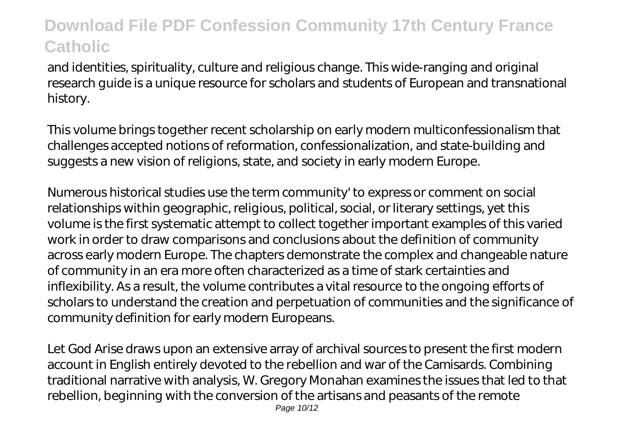and identities, spirituality, culture and religious change. This wide-ranging and original research guide is a unique resource for scholars and students of European and transnational history.

This volume brings together recent scholarship on early modern multiconfessionalism that challenges accepted notions of reformation, confessionalization, and state-building and suggests a new vision of religions, state, and society in early modern Europe.

Numerous historical studies use the term community' to express or comment on social relationships within geographic, religious, political, social, or literary settings, yet this volume is the first systematic attempt to collect together important examples of this varied work in order to draw comparisons and conclusions about the definition of community across early modern Europe. The chapters demonstrate the complex and changeable nature of community in an era more often characterized as a time of stark certainties and inflexibility. As a result, the volume contributes a vital resource to the ongoing efforts of scholars to understand the creation and perpetuation of communities and the significance of community definition for early modern Europeans.

Let God Arise draws upon an extensive array of archival sources to present the first modern account in English entirely devoted to the rebellion and war of the Camisards. Combining traditional narrative with analysis, W. Gregory Monahan examines the issues that led to that rebellion, beginning with the conversion of the artisans and peasants of the remote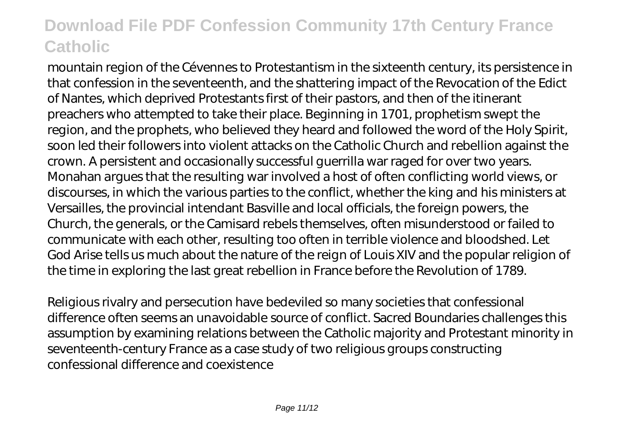mountain region of the Cévennes to Protestantism in the sixteenth century, its persistence in that confession in the seventeenth, and the shattering impact of the Revocation of the Edict of Nantes, which deprived Protestants first of their pastors, and then of the itinerant preachers who attempted to take their place. Beginning in 1701, prophetism swept the region, and the prophets, who believed they heard and followed the word of the Holy Spirit, soon led their followers into violent attacks on the Catholic Church and rebellion against the crown. A persistent and occasionally successful guerrilla war raged for over two years. Monahan argues that the resulting war involved a host of often conflicting world views, or discourses, in which the various parties to the conflict, whether the king and his ministers at Versailles, the provincial intendant Basville and local officials, the foreign powers, the Church, the generals, or the Camisard rebels themselves, often misunderstood or failed to communicate with each other, resulting too often in terrible violence and bloodshed. Let God Arise tells us much about the nature of the reign of Louis XIV and the popular religion of the time in exploring the last great rebellion in France before the Revolution of 1789.

Religious rivalry and persecution have bedeviled so many societies that confessional difference often seems an unavoidable source of conflict. Sacred Boundaries challenges this assumption by examining relations between the Catholic majority and Protestant minority in seventeenth-century France as a case study of two religious groups constructing confessional difference and coexistence